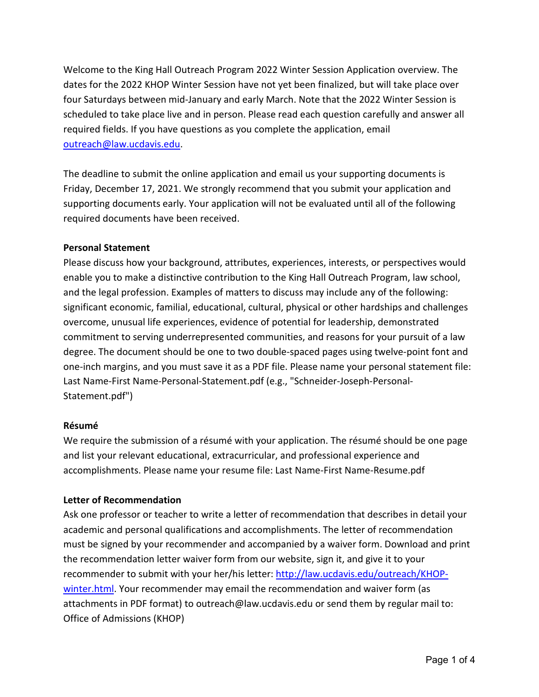Welcome to the King Hall Outreach Program 2022 Winter Session Application overview. The dates for the 2022 KHOP Winter Session have not yet been finalized, but will take place over four Saturdays between mid-January and early March. Note that the 2022 Winter Session is scheduled to take place live and in person. Please read each question carefully and answer all required fields. If you have questions as you complete the application, email [outreach@law.ucdavis.edu.](mailto:outreach@law.ucdavis.edu)

The deadline to submit the online application and email us your supporting documents is Friday, December 17, 2021. We strongly recommend that you submit your application and supporting documents early. Your application will not be evaluated until all of the following required documents have been received.

# **Personal Statement**

Please discuss how your background, attributes, experiences, interests, or perspectives would enable you to make a distinctive contribution to the King Hall Outreach Program, law school, and the legal profession. Examples of matters to discuss may include any of the following: significant economic, familial, educational, cultural, physical or other hardships and challenges overcome, unusual life experiences, evidence of potential for leadership, demonstrated commitment to serving underrepresented communities, and reasons for your pursuit of a law degree. The document should be one to two double-spaced pages using twelve-point font and one-inch margins, and you must save it as a PDF file. Please name your personal statement file: Last Name-First Name-Personal-Statement.pdf (e.g., "Schneider-Joseph-Personal-Statement.pdf")

# **Résumé**

We require the submission of a résumé with your application. The résumé should be one page and list your relevant educational, extracurricular, and professional experience and accomplishments. Please name your resume file: Last Name-First Name-Resume.pdf

# **Letter of Recommendation**

Ask one professor or teacher to write a letter of recommendation that describes in detail your academic and personal qualifications and accomplishments. The letter of recommendation must be signed by your recommender and accompanied by a waiver form. Download and print the recommendation letter waiver form from our website, sign it, and give it to your recommender to submit with your her/his letter: [http://law.ucdavis.edu/outreach/KHOP](http://law.ucdavis.edu/outreach/KHOP-winter.html)[winter.html.](http://law.ucdavis.edu/outreach/KHOP-winter.html) Your recommender may email the recommendation and waiver form (as attachments in PDF format) to outreach@law.ucdavis.edu or send them by regular mail to: Office of Admissions (KHOP)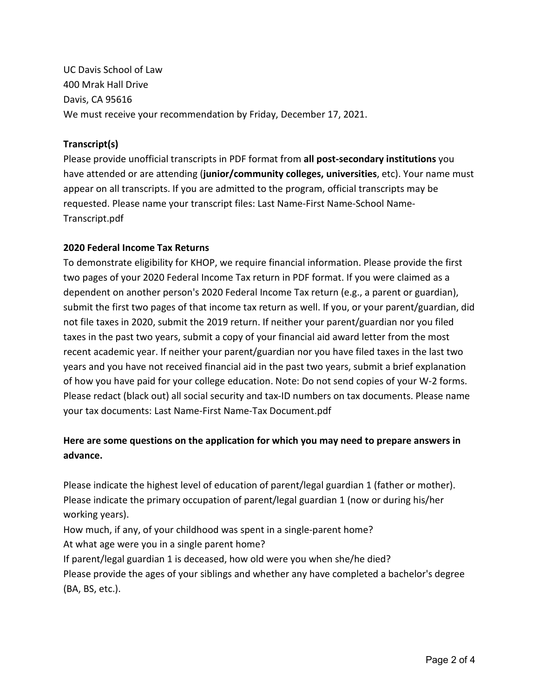UC Davis School of Law 400 Mrak Hall Drive Davis, CA 95616 We must receive your recommendation by Friday, December 17, 2021.

# **Transcript(s)**

Please provide unofficial transcripts in PDF format from **all post-secondary institutions** you have attended or are attending (**junior/community colleges, universities**, etc). Your name must appear on all transcripts. If you are admitted to the program, official transcripts may be requested. Please name your transcript files: Last Name-First Name-School Name-Transcript.pdf

# **2020 Federal Income Tax Returns**

To demonstrate eligibility for KHOP, we require financial information. Please provide the first two pages of your 2020 Federal Income Tax return in PDF format. If you were claimed as a dependent on another person's 2020 Federal Income Tax return (e.g., a parent or guardian), submit the first two pages of that income tax return as well. If you, or your parent/guardian, did not file taxes in 2020, submit the 2019 return. If neither your parent/guardian nor you filed taxes in the past two years, submit a copy of your financial aid award letter from the most recent academic year. If neither your parent/guardian nor you have filed taxes in the last two years and you have not received financial aid in the past two years, submit a brief explanation of how you have paid for your college education. Note: Do not send copies of your W-2 forms. Please redact (black out) all social security and tax-ID numbers on tax documents. Please name your tax documents: Last Name-First Name-Tax Document.pdf

# **Here are some questions on the application for which you may need to prepare answers in advance.**

Please indicate the highest level of education of parent/legal guardian 1 (father or mother). Please indicate the primary occupation of parent/legal guardian 1 (now or during his/her working years).

How much, if any, of your childhood was spent in a single-parent home?

At what age were you in a single parent home?

If parent/legal guardian 1 is deceased, how old were you when she/he died?

Please provide the ages of your siblings and whether any have completed a bachelor's degree (BA, BS, etc.).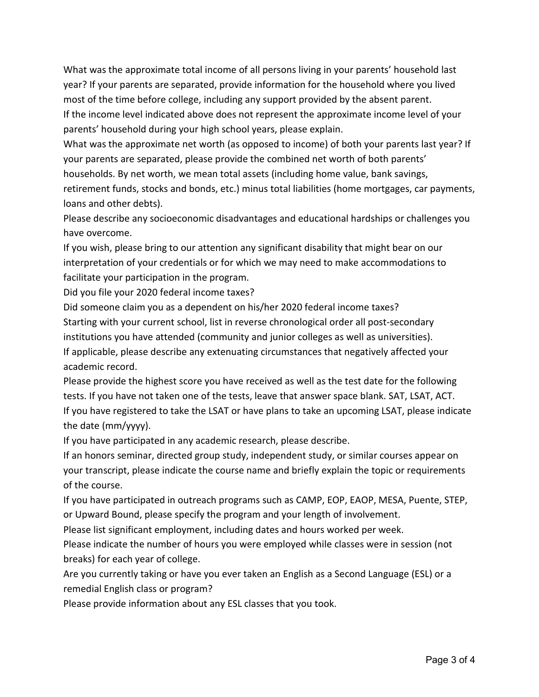What was the approximate total income of all persons living in your parents' household last year? If your parents are separated, provide information for the household where you lived most of the time before college, including any support provided by the absent parent. If the income level indicated above does not represent the approximate income level of your parents' household during your high school years, please explain.

What was the approximate net worth (as opposed to income) of both your parents last year? If your parents are separated, please provide the combined net worth of both parents' households. By net worth, we mean total assets (including home value, bank savings, retirement funds, stocks and bonds, etc.) minus total liabilities (home mortgages, car payments, loans and other debts).

Please describe any socioeconomic disadvantages and educational hardships or challenges you have overcome.

If you wish, please bring to our attention any significant disability that might bear on our interpretation of your credentials or for which we may need to make accommodations to facilitate your participation in the program.

Did you file your 2020 federal income taxes?

Did someone claim you as a dependent on his/her 2020 federal income taxes? Starting with your current school, list in reverse chronological order all post-secondary institutions you have attended (community and junior colleges as well as universities). If applicable, please describe any extenuating circumstances that negatively affected your academic record.

Please provide the highest score you have received as well as the test date for the following tests. If you have not taken one of the tests, leave that answer space blank. SAT, LSAT, ACT. If you have registered to take the LSAT or have plans to take an upcoming LSAT, please indicate the date (mm/yyyy).

If you have participated in any academic research, please describe.

If an honors seminar, directed group study, independent study, or similar courses appear on your transcript, please indicate the course name and briefly explain the topic or requirements of the course.

If you have participated in outreach programs such as CAMP, EOP, EAOP, MESA, Puente, STEP, or Upward Bound, please specify the program and your length of involvement.

Please list significant employment, including dates and hours worked per week.

Please indicate the number of hours you were employed while classes were in session (not breaks) for each year of college.

Are you currently taking or have you ever taken an English as a Second Language (ESL) or a remedial English class or program?

Please provide information about any ESL classes that you took.